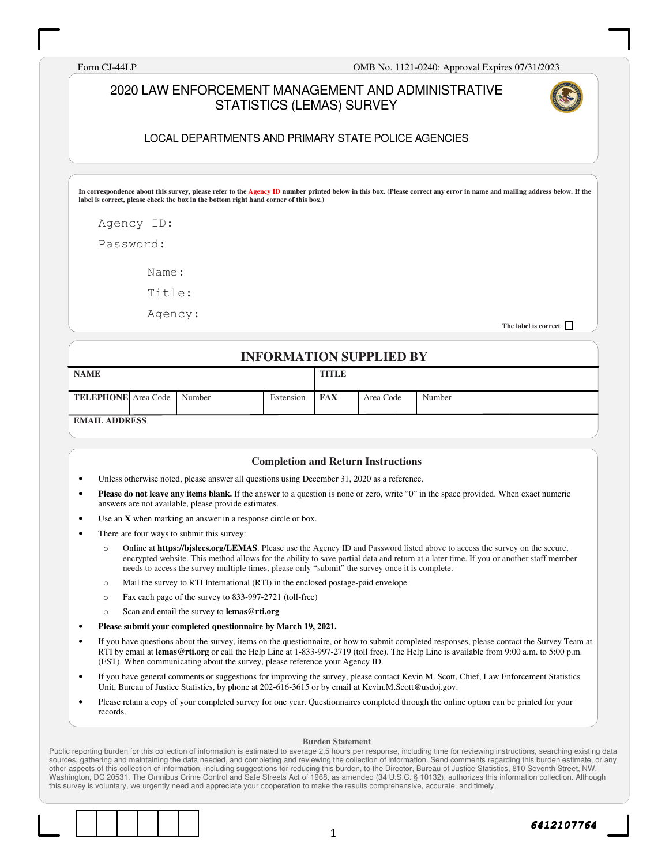Form CJ-44LP OMB No. 1121-0240: Approval Expires 07/31/2023

#### 2020 LAW ENFORCEMENT MANAGEMENT AND ADMINISTRATIVE STATISTICS (LEMAS) SURVEY



#### LOCAL DEPARTMENTS AND PRIMARY STATE POLICE AGENCIES

**In correspondence about this survey, please refer to the Agency ID number printed below in this box. (Please correct any error in name and mailing address below. If the label is correct, please check the box in the bottom right hand corner of this box.)** 

Agency ID:

Password:

Name:

Title:

Agency:

**The label is correct** 

#### **INFORMATION SUPPLIED BY**

| <b>NAME</b>                       |  |  | <b>TITLE</b> |            |           |        |
|-----------------------------------|--|--|--------------|------------|-----------|--------|
| <b>TELEPHONE</b> Area Code Number |  |  | Extension    | <b>FAX</b> | Area Code | Number |
| <b>FMAIL ADDDESS</b>              |  |  |              |            |           |        |

**EMAIL ADDRESS** 

#### **Completion and Return Instructions**

- Unless otherwise noted, please answer all questions using December 31, 2020 as a reference.
- **Please do not leave any items blank.** If the answer to a question is none or zero, write "0" in the space provided. When exact numeric answers are not available, please provide estimates.
- Use an **X** when marking an answer in a response circle or box.
- There are four ways to submit this survey:
	- o Online at **https://bjslecs.org/LEMAS**. Please use the Agency ID and Password listed above to access the survey on the secure, encrypted website. This method allows for the ability to save partial data and return at a later time. If you or another staff member needs to access the survey multiple times, please only "submit" the survey once it is complete.
	- o Mail the survey to RTI International (RTI) in the enclosed postage-paid envelope
	- o Fax each page of the survey to 833-997-2721 (toll-free)
	- o Scan and email the survey to **lemas@rti.org**
- **Please submit your completed questionnaire by March 19, 2021.**
- If you have questions about the survey, items on the questionnaire, or how to submit completed responses, please contact the Survey Team at RTI by email at **lemas@rti.org** or call the Help Line at 1-833-997-2719 (toll free). The Help Line is available from 9:00 a.m. to 5:00 p.m. (EST). When communicating about the survey, please reference your Agency ID.
- If you have general comments or suggestions for improving the survey, please contact Kevin M. Scott, Chief, Law Enforcement Statistics Unit, Bureau of Justice Statistics, by phone at 202-616-3615 or by email at Kevin.M.Scott@usdoj.gov.
- Please retain a copy of your completed survey for one year. Questionnaires completed through the online option can be printed for your records.

#### **Burden Statement**

Public reporting burden for this collection of information is estimated to average 2.5 hours per response, including time for reviewing instructions, searching existing data sources, gathering and maintaining the data needed, and completing and reviewing the collection of information. Send comments regarding this burden estimate, or any other aspects of this collection of information, including suggestions for reducing this burden, to the Director, Bureau of Justice Statistics, 810 Seventh Street, NW, Washington, DC 20531. The Omnibus Crime Control and Safe Streets Act of 1968, as amended (34 U.S.C. § 10132), authorizes this information collection. Although this survey is voluntary, we urgently need and appreciate your cooperation to make the results comprehensive, accurate, and timely.

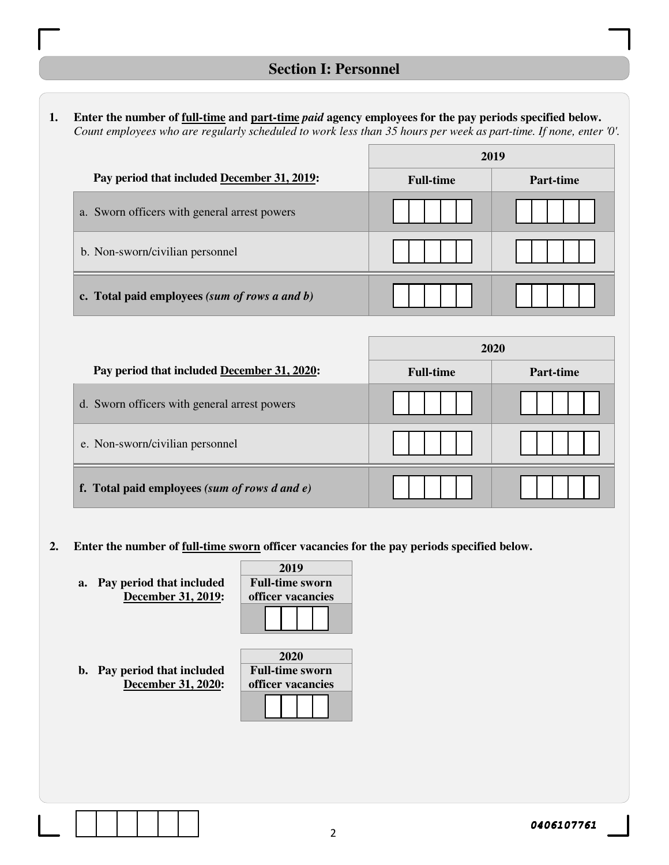1. Enter the number of <u>full-time</u> and part-time *paid* agency employees for the pay periods specified below. *Count employees who are regularly scheduled to work less than 35 hours per week as part-time. If none, enter '0'.* 

|                                                  | 2019             |           |
|--------------------------------------------------|------------------|-----------|
| Pay period that included December 31, 2019:      | <b>Full-time</b> | Part-time |
| a. Sworn officers with general arrest powers     |                  |           |
| b. Non-sworn/civilian personnel                  |                  |           |
| c. Total paid employees (sum of rows a and $b$ ) |                  |           |

|                                                    | 2020             |           |  |
|----------------------------------------------------|------------------|-----------|--|
| Pay period that included December 31, 2020:        | <b>Full-time</b> | Part-time |  |
| d. Sworn officers with general arrest powers       |                  |           |  |
| e. Non-sworn/civilian personnel                    |                  |           |  |
| f. Total paid employees (sum of rows $d$ and $e$ ) |                  |           |  |

#### **2. Enter the number of full-time sworn officer vacancies for the pay periods specified below.**

**a. Pay period that included December 31, 2019:** 

| 2019                   |  |  |  |  |  |
|------------------------|--|--|--|--|--|
| <b>Full-time sworn</b> |  |  |  |  |  |
| officer vacancies      |  |  |  |  |  |
|                        |  |  |  |  |  |
|                        |  |  |  |  |  |

**b. Pay period that included December 31, 2020:** 

| 2020                   |  |  |  |  |  |  |  |  |
|------------------------|--|--|--|--|--|--|--|--|
| <b>Full-time sworn</b> |  |  |  |  |  |  |  |  |
| officer vacancies      |  |  |  |  |  |  |  |  |
|                        |  |  |  |  |  |  |  |  |
|                        |  |  |  |  |  |  |  |  |

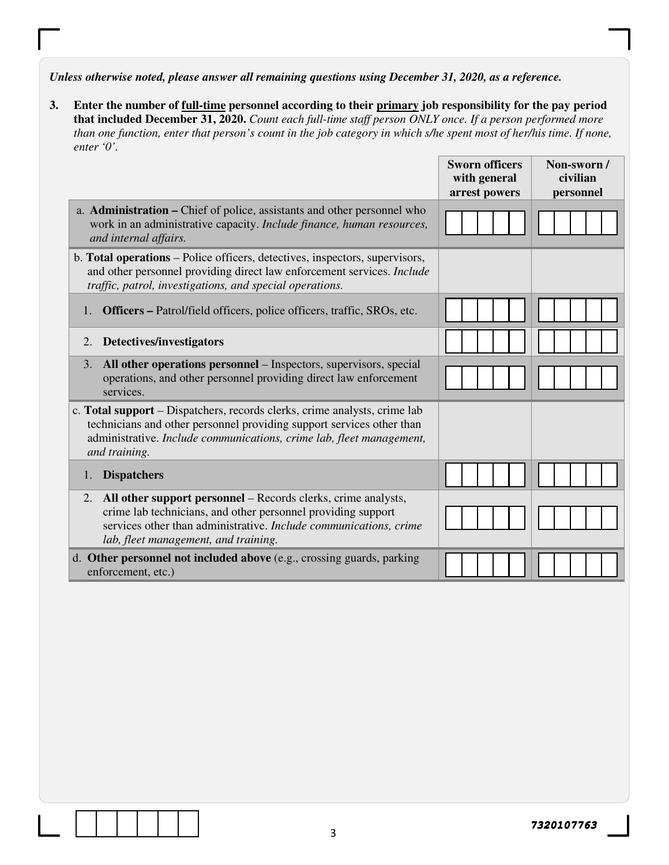*Unless otherwise noted, please answer all remaining questions using December 31, 2020, as a reference.*

| Enter the number of full-time personnel according to their primary job responsibility for the pay period            |
|---------------------------------------------------------------------------------------------------------------------|
| that included December 31, 2020. Count each full-time staff person ONLY once. If a person performed more            |
| than one function, enter that person's count in the job category in which s/he spent most of her/his time. If none, |
| enter $\theta$ .                                                                                                    |

|                                                                                                                                                                                                                                                  | <b>Sworn officers</b><br>with general<br>arrest powers | Non-sworn/<br>civilian<br>personnel |
|--------------------------------------------------------------------------------------------------------------------------------------------------------------------------------------------------------------------------------------------------|--------------------------------------------------------|-------------------------------------|
| a. <b>Administration –</b> Chief of police, assistants and other personnel who<br>work in an administrative capacity. Include finance, human resources,<br>and internal affairs.                                                                 |                                                        |                                     |
| b. Total operations - Police officers, detectives, inspectors, supervisors,<br>and other personnel providing direct law enforcement services. Include<br>traffic, patrol, investigations, and special operations.                                |                                                        |                                     |
| <b>Officers – Patrol/field officers, police officers, traffic, SROs, etc.</b><br>1.                                                                                                                                                              |                                                        |                                     |
| Detectives/investigators<br>2.                                                                                                                                                                                                                   |                                                        |                                     |
| All other operations personnel – Inspectors, supervisors, special<br>3.<br>operations, and other personnel providing direct law enforcement<br>services.                                                                                         |                                                        |                                     |
| c. Total support – Dispatchers, records clerks, crime analysts, crime lab<br>technicians and other personnel providing support services other than<br>administrative. Include communications, crime lab, fleet management,<br>and training.      |                                                        |                                     |
| <b>Dispatchers</b><br>1.                                                                                                                                                                                                                         |                                                        |                                     |
| All other support personnel – Records clerks, crime analysts,<br>2.<br>crime lab technicians, and other personnel providing support<br>services other than administrative. Include communications, crime<br>lab, fleet management, and training. |                                                        |                                     |
| d. Other personnel not included above (e.g., crossing guards, parking<br>enforcement, etc.)                                                                                                                                                      |                                                        |                                     |

3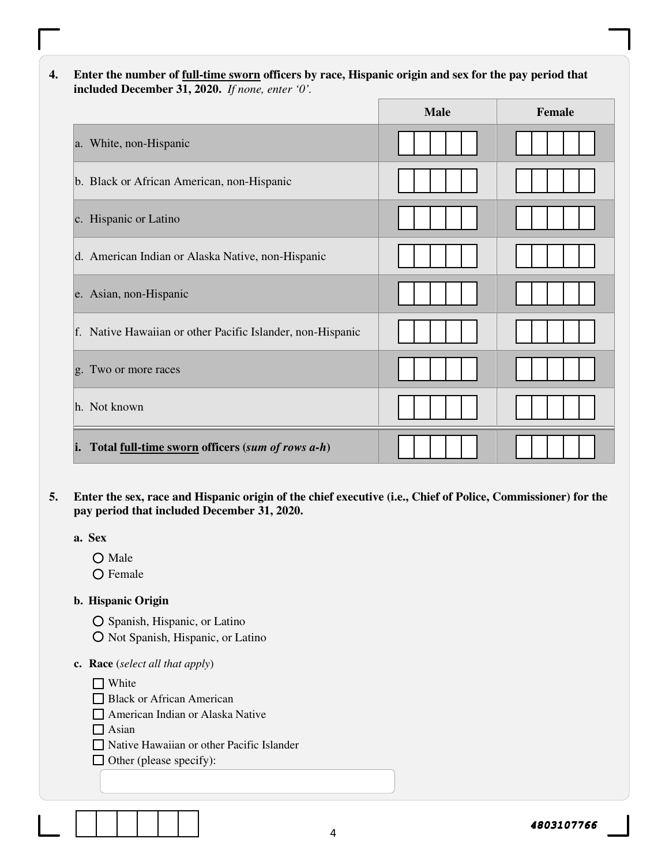**4. Enter the number of full-time sworn officers by race, Hispanic origin and sex for the pay period that included December 31, 2020.** *If none, enter '0'.*

|                                                            | <b>Male</b> | <b>Female</b> |
|------------------------------------------------------------|-------------|---------------|
| a. White, non-Hispanic                                     |             |               |
| b. Black or African American, non-Hispanic                 |             |               |
| c. Hispanic or Latino                                      |             |               |
| d. American Indian or Alaska Native, non-Hispanic          |             |               |
| e. Asian, non-Hispanic                                     |             |               |
| f. Native Hawaiian or other Pacific Islander, non-Hispanic |             |               |
| g. Two or more races                                       |             |               |
| h. Not known                                               |             |               |
| Total full-time sworn officers (sum of rows a-h)<br>i.     |             |               |

**5. Enter the sex, race and Hispanic origin of the chief executive (i.e., Chief of Police, Commissioner) for the pay period that included December 31, 2020.** 

**a. Sex**

O Male

 $\bigcirc$  Female

#### **b. Hispanic Origin**

O Spanish, Hispanic, or Latino

O Not Spanish, Hispanic, or Latino

#### **c. Race** (*select all that apply*)

□ White

**Black or African American** 

American Indian or Alaska Native

 $\Box$  Asian

Native Hawaiian or other Pacific Islander

 $\Box$  Other (please specify):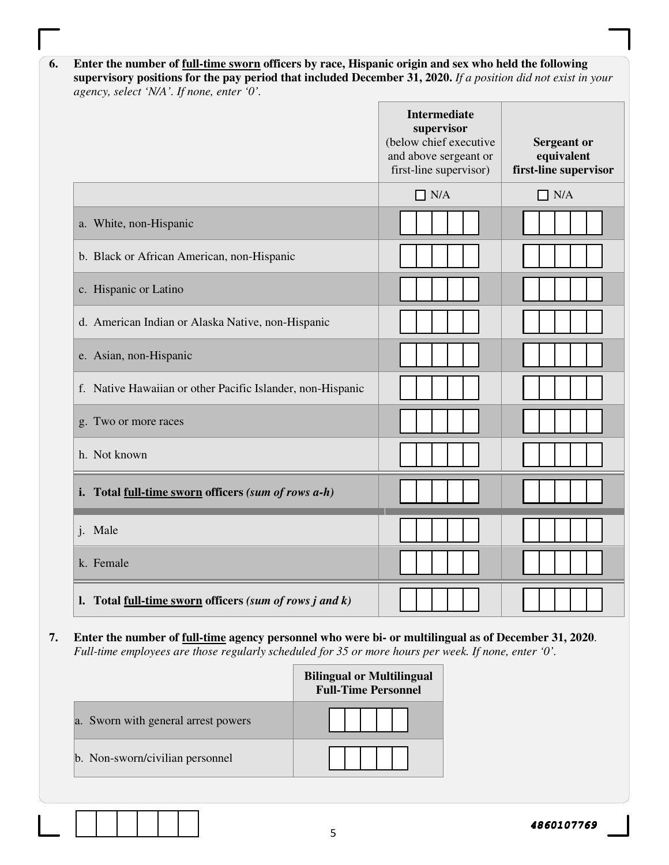| 6. | Enter the number of full-time sworn officers by race, Hispanic origin and sex who held the following          |
|----|---------------------------------------------------------------------------------------------------------------|
|    | supervisory positions for the pay period that included December 31, 2020. If a position did not exist in your |
|    | agency, select 'N/A'. If none, enter '0'.                                                                     |

|                                                              | <b>Intermediate</b><br>supervisor<br>(below chief executive<br>and above sergeant or<br>first-line supervisor) | <b>Sergeant or</b><br>equivalent<br>first-line supervisor |  |
|--------------------------------------------------------------|----------------------------------------------------------------------------------------------------------------|-----------------------------------------------------------|--|
|                                                              | $\Box$ N/A                                                                                                     | $\Box$ N/A                                                |  |
| a. White, non-Hispanic                                       |                                                                                                                |                                                           |  |
| b. Black or African American, non-Hispanic                   |                                                                                                                |                                                           |  |
| c. Hispanic or Latino                                        |                                                                                                                |                                                           |  |
| d. American Indian or Alaska Native, non-Hispanic            |                                                                                                                |                                                           |  |
| e. Asian, non-Hispanic                                       |                                                                                                                |                                                           |  |
| f. Native Hawaiian or other Pacific Islander, non-Hispanic   |                                                                                                                |                                                           |  |
| g. Two or more races                                         |                                                                                                                |                                                           |  |
| h. Not known                                                 |                                                                                                                |                                                           |  |
| i. Total full-time sworn officers (sum of rows a-h)          |                                                                                                                |                                                           |  |
| j. Male                                                      |                                                                                                                |                                                           |  |
| k. Female                                                    |                                                                                                                |                                                           |  |
| 1. Total full-time sworn officers (sum of rows $j$ and $k$ ) |                                                                                                                |                                                           |  |

**7. Enter the number of full-time agency personnel who were bi- or multilingual as of December 31, 2020**. *Full-time employees are those regularly scheduled for 35 or more hours per week. If none, enter '0'.* 

|                                     | <b>Bilingual or Multilingual</b><br><b>Full-Time Personnel</b> |
|-------------------------------------|----------------------------------------------------------------|
| a. Sworn with general arrest powers |                                                                |
| b. Non-sworn/civilian personnel     |                                                                |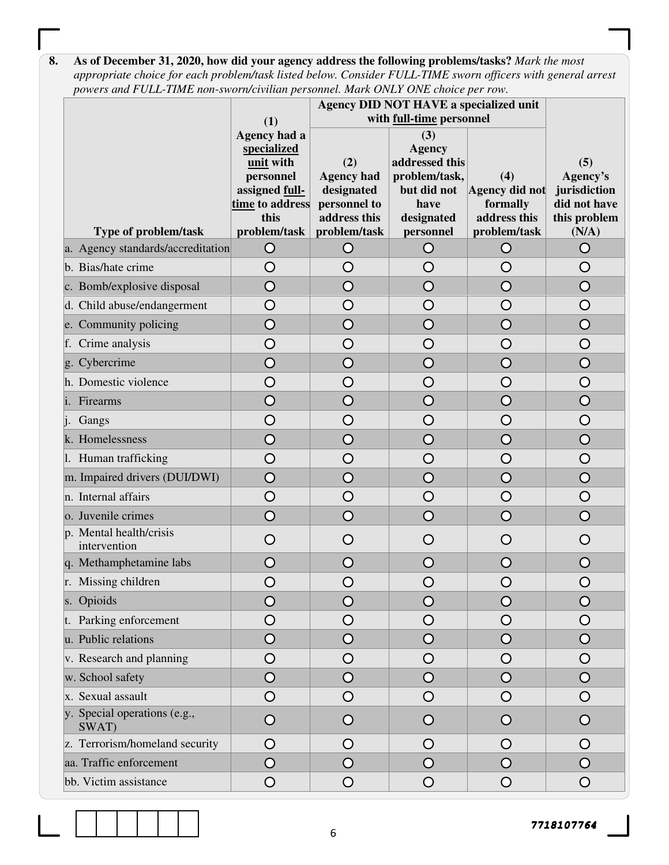**8. As of December 31, 2020, how did your agency address the following problems/tasks?** *Mark the most appropriate choice for each problem/task listed below. Consider FULL-TIME sworn officers with general arrest powers and FULL-TIME non-sworn/civilian personnel. Mark ONLY ONE choice per row.* 

|                                         | (1)                                                                                                                | Agency DID NOT HAVE a specialized unit<br>with full-time personnel                     |                                                                                                           |                                                                   |                                                                          |
|-----------------------------------------|--------------------------------------------------------------------------------------------------------------------|----------------------------------------------------------------------------------------|-----------------------------------------------------------------------------------------------------------|-------------------------------------------------------------------|--------------------------------------------------------------------------|
| Type of problem/task                    | Agency had a<br>specialized<br>unit with<br>personnel<br>assigned full-<br>time to address<br>this<br>problem/task | (2)<br><b>Agency had</b><br>designated<br>personnel to<br>address this<br>problem/task | (3)<br><b>Agency</b><br>addressed this<br>problem/task,<br>but did not<br>have<br>designated<br>personnel | (4)<br>Agency did not<br>formally<br>address this<br>problem/task | (5)<br>Agency's<br>jurisdiction<br>did not have<br>this problem<br>(N/A) |
| a. Agency standards/accreditation       | $\circ$                                                                                                            | $\circ$                                                                                | $\circ$                                                                                                   | $\circ$                                                           | $\bigcirc$                                                               |
| b. Bias/hate crime                      | O                                                                                                                  | O                                                                                      | O                                                                                                         | O                                                                 | O                                                                        |
| c. Bomb/explosive disposal              | $\bigcirc$                                                                                                         | O                                                                                      | O                                                                                                         | O                                                                 | $\bigcirc$                                                               |
| d. Child abuse/endangerment             | O                                                                                                                  | O                                                                                      | O                                                                                                         | O                                                                 | O                                                                        |
| e. Community policing                   | O                                                                                                                  | O                                                                                      | O                                                                                                         | O                                                                 | O                                                                        |
| f. Crime analysis                       | O                                                                                                                  | O                                                                                      | O                                                                                                         | O                                                                 | O                                                                        |
| g. Cybercrime                           | $\overline{\mathsf{O}}$                                                                                            | O                                                                                      | $\overline{\mathsf{O}}$                                                                                   | $\overline{O}$                                                    | $\overline{O}$                                                           |
| h. Domestic violence                    | $\overline{O}$                                                                                                     | O                                                                                      | $\bigcirc$                                                                                                | $\bigcirc$                                                        | $\bigcirc$                                                               |
| i. Firearms                             | O                                                                                                                  | O                                                                                      | O                                                                                                         | $\overline{O}$                                                    | $\overline{O}$                                                           |
| Gangs                                   | $\overline{O}$                                                                                                     | O                                                                                      | O                                                                                                         | O                                                                 | O                                                                        |
| k. Homelessness                         | O                                                                                                                  | $\overline{O}$                                                                         | $\overline{O}$                                                                                            | $\overline{O}$                                                    | $\overline{O}$                                                           |
| 1. Human trafficking                    | $\bigcirc$                                                                                                         | O                                                                                      | O                                                                                                         | O                                                                 | O                                                                        |
| m. Impaired drivers (DUI/DWI)           | $\bigcirc$                                                                                                         | $\bigcirc$                                                                             | $\overline{O}$                                                                                            | $\bigcirc$                                                        | $\bigcirc$                                                               |
| n. Internal affairs                     | $\bigcirc$                                                                                                         | O                                                                                      | $\bigcirc$                                                                                                | $\bigcirc$                                                        | O                                                                        |
| o. Juvenile crimes                      | $\bigcirc$                                                                                                         | $\bigcirc$                                                                             | $\overline{\mathsf{O}}$                                                                                   | $\bigcirc$                                                        | $\overline{O}$                                                           |
| p. Mental health/crisis<br>intervention | O                                                                                                                  | O                                                                                      | O                                                                                                         | O                                                                 | O                                                                        |
| q. Methamphetamine labs                 | $\bigcirc$                                                                                                         | $\bigcirc$                                                                             | $\bigcirc$                                                                                                | O                                                                 | O                                                                        |
| r. Missing children                     | $\bigcirc$                                                                                                         | O                                                                                      | $\bigcirc$                                                                                                | $\bigcirc$                                                        | O                                                                        |
| s. Opioids                              | $\overline{O}$                                                                                                     | O                                                                                      | $\overline{O}$                                                                                            | $\bigcirc$                                                        | $\Omega$                                                                 |
| t. Parking enforcement                  | ( )                                                                                                                | 〔 〕                                                                                    | O                                                                                                         | O                                                                 | O                                                                        |
| u. Public relations                     | ( )                                                                                                                | $\bigcirc$                                                                             | O                                                                                                         | O                                                                 | $\bigcirc$                                                               |
| v. Research and planning                | O                                                                                                                  | O                                                                                      | O                                                                                                         | O                                                                 | Ő                                                                        |
| w. School safety                        | O                                                                                                                  | O                                                                                      | O                                                                                                         | O                                                                 | O                                                                        |
| x. Sexual assault                       | O                                                                                                                  | O                                                                                      | O                                                                                                         | $\bigcirc$                                                        | O                                                                        |
| y. Special operations (e.g.,<br>SWAT)   | O                                                                                                                  | O                                                                                      | O                                                                                                         | $\circ$                                                           | O                                                                        |
| z. Terrorism/homeland security          | Ő                                                                                                                  | Ő                                                                                      | O                                                                                                         | Ő                                                                 | Ő                                                                        |
| aa. Traffic enforcement                 | O                                                                                                                  | O                                                                                      | O                                                                                                         | O                                                                 |                                                                          |
| bb. Victim assistance                   | O                                                                                                                  | $\bigcirc$                                                                             | $\circ$                                                                                                   | $\bigcirc$                                                        | O                                                                        |

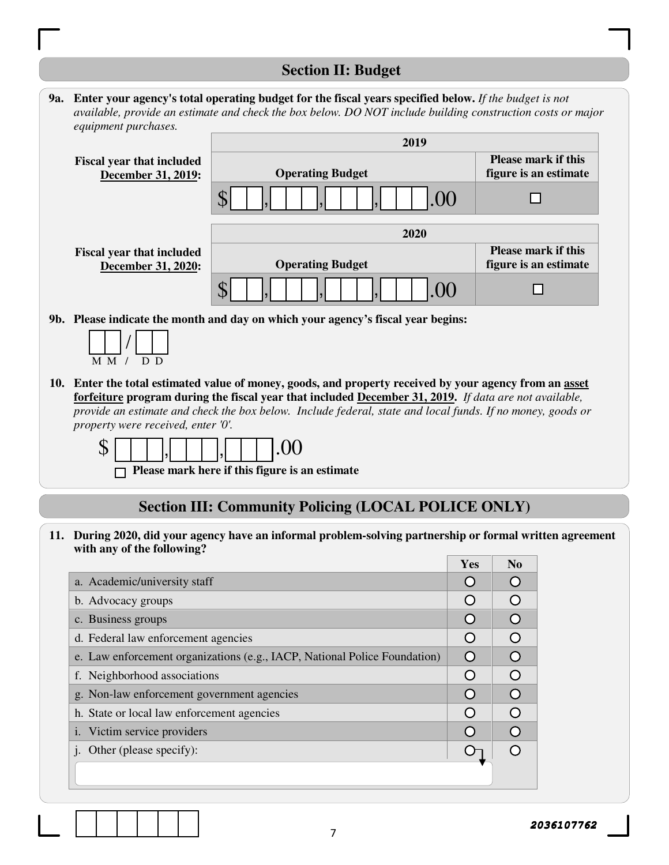## **Section II: Budget**

|                      | <b>9a.</b> Enter your agency's total operating budget for the fiscal years specified below. If the budget is not |  |
|----------------------|------------------------------------------------------------------------------------------------------------------|--|
|                      | available, provide an estimate and check the box below. DO NOT include building construction costs or major      |  |
| equipment purchases. |                                                                                                                  |  |
|                      | AA                                                                                                               |  |

|                                                        | 2019                                                                               |                                                     |
|--------------------------------------------------------|------------------------------------------------------------------------------------|-----------------------------------------------------|
| <b>Fiscal year that included</b><br>December 31, 2019: | <b>Operating Budget</b>                                                            | <b>Please mark if this</b><br>figure is an estimate |
|                                                        | .00                                                                                |                                                     |
|                                                        | 2020                                                                               |                                                     |
| <b>Fiscal year that included</b>                       |                                                                                    | <b>Please mark if this</b>                          |
| December 31, 2020:                                     | <b>Operating Budget</b>                                                            | figure is an estimate                               |
|                                                        | .00                                                                                |                                                     |
|                                                        | 01. Dlagge indicate the month and day on which your googers's figeed wear headings |                                                     |

**9b. Please indicate the month and day on which your agency's fiscal year begins:** 

| M M |  | י ו |
|-----|--|-----|

**10. Enter the total estimated value of money, goods, and property received by your agency from an asset forfeiture program during the fiscal year that included December 31, 2019.** *If data are not available, provide an estimate and check the box below. Include federal, state and local funds. If no money, goods or property were received, enter '0'.*

 $$ \Box \Box \Box \Box \Box \Box \Box$ , ,

**Please mark here if this figure is an estimate** 

## **Section III: Community Policing (LOCAL POLICE ONLY)**

**11. During 2020, did your agency have an informal problem-solving partnership or formal written agreement with any of the following?**

|                                                                           | Yes              | N <sub>0</sub> |
|---------------------------------------------------------------------------|------------------|----------------|
| a. Academic/university staff                                              |                  |                |
| b. Advocacy groups                                                        | $\left( \right)$ |                |
| c. Business groups                                                        | $\left( \right)$ |                |
| d. Federal law enforcement agencies                                       | $\left( \right)$ | $\bigcap$      |
| e. Law enforcement organizations (e.g., IACP, National Police Foundation) | $\left( \right)$ |                |
| f. Neighborhood associations                                              | ∩                |                |
| g. Non-law enforcement government agencies                                | $\bigcap$        |                |
| h. State or local law enforcement agencies                                | $\left( \right)$ |                |
| Victim service providers                                                  |                  |                |
| Other (please specify):                                                   |                  |                |
|                                                                           |                  |                |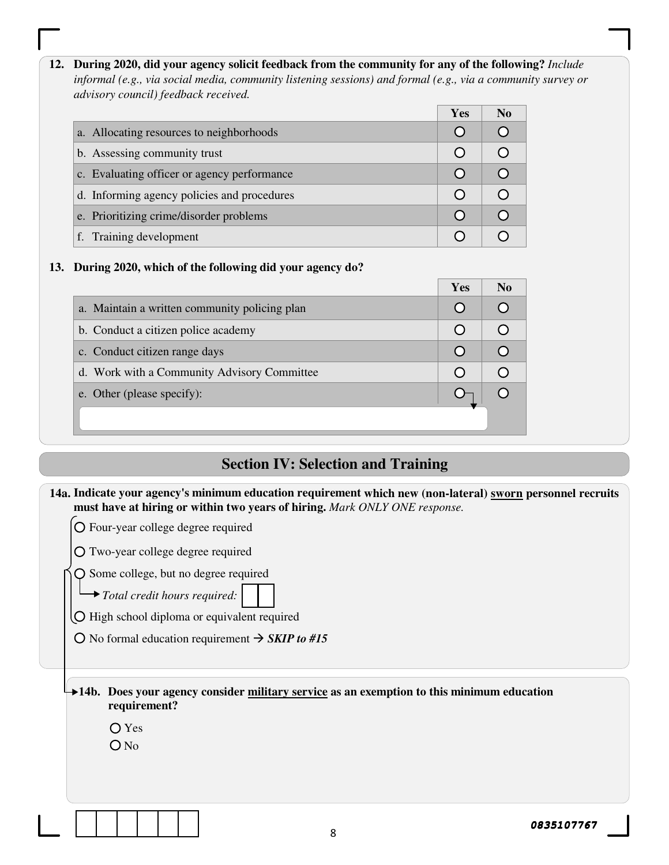**12. During 2020, did your agency solicit feedback from the community for any of the following?** *Include informal (e.g., via social media, community listening sessions) and formal (e.g., via a community survey or advisory council) feedback received.*

|                                             | <b>Yes</b> | N <sub>0</sub> |
|---------------------------------------------|------------|----------------|
| a. Allocating resources to neighborhoods    |            |                |
| b. Assessing community trust                |            |                |
| c. Evaluating officer or agency performance |            |                |
| d. Informing agency policies and procedures |            |                |
| e. Prioritizing crime/disorder problems     |            |                |
| f. Training development                     |            |                |

#### **13. During 2020, which of the following did your agency do?**

|                                               | Yes | N <sub>0</sub> |
|-----------------------------------------------|-----|----------------|
| a. Maintain a written community policing plan |     |                |
| b. Conduct a citizen police academy           |     |                |
| c. Conduct citizen range days                 |     |                |
| d. Work with a Community Advisory Committee   |     |                |
| e. Other (please specify):                    |     |                |
|                                               |     |                |

# **Section IV: Selection and Training**

| 14a. Indicate your agency's minimum education requirement which new (non-lateral) sworn personnel recruits<br>must have at hiring or within two years of hiring. Mark ONLY ONE response.                     |
|--------------------------------------------------------------------------------------------------------------------------------------------------------------------------------------------------------------|
| O Four-year college degree required                                                                                                                                                                          |
| O Two-year college degree required                                                                                                                                                                           |
| $\bigcirc$ Some college, but no degree required<br>$\rightarrow$ Total credit hours required:<br>O High school diploma or equivalent required<br>O No formal education requirement $\rightarrow$ SKIP to #15 |
| $\rightarrow$ 14b. Does your agency consider military service as an exemption to this minimum education<br>requirement?<br>$O$ Yes<br>$O$ No                                                                 |
| 0835107767<br>8                                                                                                                                                                                              |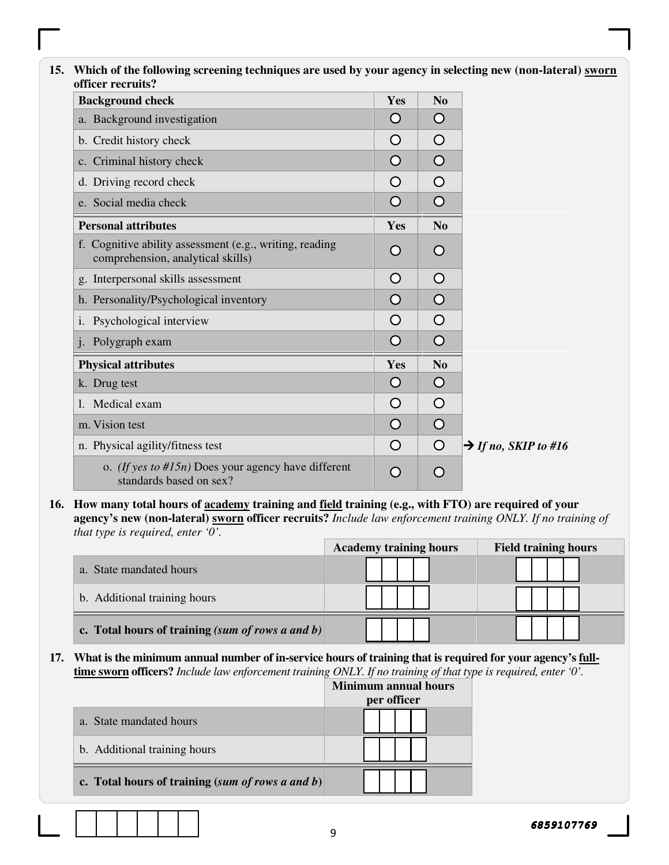| <b>Background check</b>                                                                      | Yes        | N <sub>0</sub> |                                  |
|----------------------------------------------------------------------------------------------|------------|----------------|----------------------------------|
| a. Background investigation                                                                  | O          | $\bigcirc$     |                                  |
| b. Credit history check                                                                      | O          | $\circ$        |                                  |
| c. Criminal history check                                                                    | O          | $\circ$        |                                  |
| d. Driving record check                                                                      | O          | $\circ$        |                                  |
| e. Social media check                                                                        | $\bigcirc$ | $\bigcirc$     |                                  |
| <b>Personal attributes</b>                                                                   | Yes        | No             |                                  |
| f. Cognitive ability assessment (e.g., writing, reading<br>comprehension, analytical skills) | O          | $\bigcirc$     |                                  |
| g. Interpersonal skills assessment                                                           | O          | $\circ$        |                                  |
| h. Personality/Psychological inventory                                                       | O          | $\circ$        |                                  |
| Psychological interview<br>i.                                                                | O          | $\bigcirc$     |                                  |
| Polygraph exam                                                                               | O          | $\circ$        |                                  |
| <b>Physical attributes</b>                                                                   | Yes        | N <sub>o</sub> |                                  |
| k. Drug test                                                                                 | $\bigcirc$ | $\circ$        |                                  |
| Medical exam<br>1.                                                                           | O          | $\circ$        |                                  |
| m. Vision test                                                                               | O          | $\circ$        |                                  |
| n. Physical agility/fitness test                                                             | O          | $\circ$        | $\rightarrow$ If no, SKIP to #16 |
| o. <i>(If yes to #15n)</i> Does your agency have different<br>standards based on sex?        | O          | O              |                                  |

**16. How many total hours of academy training and field training (e.g., with FTO) are required of your agency's new (non-lateral) sworn officer recruits?** *Include law enforcement training ONLY. If no training of that type is required, enter '0'.* 

| $\sim$ 1                                            | <b>Academy training hours</b> | <b>Field training hours</b> |
|-----------------------------------------------------|-------------------------------|-----------------------------|
| a. State mandated hours                             |                               |                             |
| b. Additional training hours                        |                               |                             |
| c. Total hours of training (sum of rows a and $b$ ) |                               |                             |

**17. What is the minimum annual number of in-service hours of training that is required for your agency's fulltime sworn officers?** *Include law enforcement training ONLY. If no training of that type is required, enter '0'.*

|                                                    | Minimum annual hours |
|----------------------------------------------------|----------------------|
|                                                    | per officer          |
| a. State mandated hours                            |                      |
| b. Additional training hours                       |                      |
| c. Total hours of training $(sum of rows a and b)$ |                      |

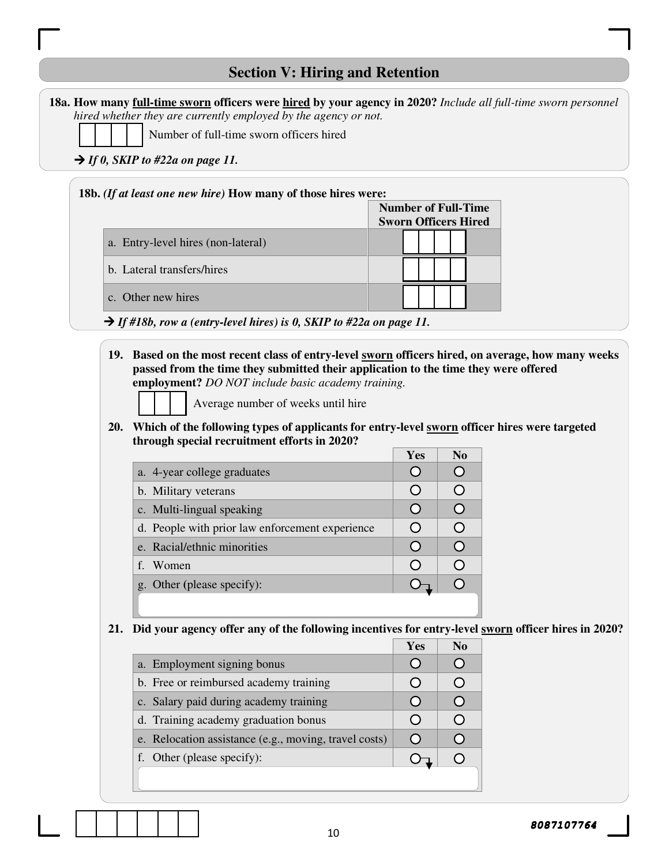## **Section V: Hiring and Retention**

|                                    | 18a. How many full-time sworn officers were hired by your agency in 2020? Include all full-time sworn personnel |                                              |                             |  |  |  |  |
|------------------------------------|-----------------------------------------------------------------------------------------------------------------|----------------------------------------------|-----------------------------|--|--|--|--|
|                                    | hired whether they are currently employed by the agency or not.                                                 |                                              |                             |  |  |  |  |
|                                    | Number of full-time sworn officers hired                                                                        |                                              |                             |  |  |  |  |
|                                    |                                                                                                                 | $\rightarrow$ If 0, SKIP to #22a on page 11. |                             |  |  |  |  |
|                                    | 18b. (If at least one new hire) How many of those hires were:                                                   |                                              |                             |  |  |  |  |
|                                    |                                                                                                                 |                                              | <b>Number of Full-Time</b>  |  |  |  |  |
|                                    |                                                                                                                 |                                              | <b>Sworn Officers Hired</b> |  |  |  |  |
| a. Entry-level hires (non-lateral) |                                                                                                                 |                                              |                             |  |  |  |  |
|                                    |                                                                                                                 | b. Lateral transfers/hires                   |                             |  |  |  |  |
|                                    |                                                                                                                 | c. Other new hires                           |                             |  |  |  |  |

- *If #18b, row a (entry-level hires) is 0, SKIP to #22a on page 11.*
- **19. Based on the most recent class of entry-level sworn officers hired, on average, how many weeks passed from the time they submitted their application to the time they were offered employment?** *DO NOT include basic academy training.*

Average number of weeks until hire

**20. Which of the following types of applicants for entry-level sworn officer hires were targeted through special recruitment efforts in 2020?** 

|                                                 | Yes | N <sub>0</sub> |
|-------------------------------------------------|-----|----------------|
| a. 4-year college graduates                     |     |                |
| b. Military veterans                            |     | ďк             |
| c. Multi-lingual speaking                       |     |                |
| d. People with prior law enforcement experience |     | 0              |
| e. Racial/ethnic minorities                     |     |                |
| f. Women                                        |     |                |
| g. Other (please specify):                      |     |                |
|                                                 |     |                |

**21. Did your agency offer any of the following incentives for entry-level sworn officer hires in 2020?** 

|                                                       | Yes | N <sub>0</sub> |
|-------------------------------------------------------|-----|----------------|
| a. Employment signing bonus                           |     |                |
| b. Free or reimbursed academy training                |     |                |
| c. Salary paid during academy training                |     |                |
| d. Training academy graduation bonus                  |     |                |
| e. Relocation assistance (e.g., moving, travel costs) |     |                |
| f. Other (please specify):                            |     |                |
|                                                       |     |                |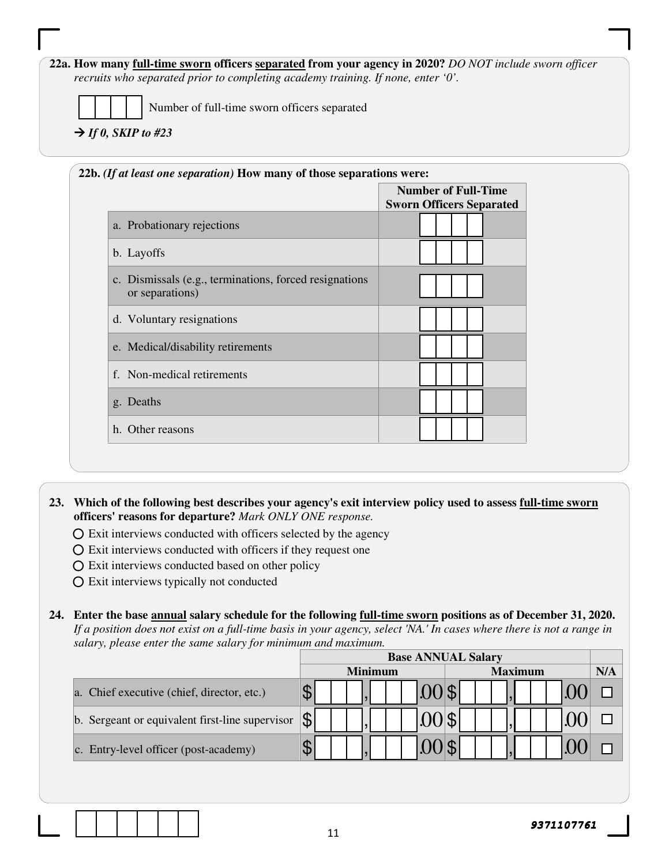#### **22a. How many full-time sworn officers separated from your agency in 2020?** *DO NOT include sworn officer recruits who separated prior to completing academy training. If none, enter '0'.*

Number of full-time sworn officers separated

#### $\rightarrow$  *If 0, SKIP to #23*

|                                                                            | <b>Number of Full-Time</b><br><b>Sworn Officers Separated</b> |
|----------------------------------------------------------------------------|---------------------------------------------------------------|
| a. Probationary rejections                                                 |                                                               |
| b. Layoffs                                                                 |                                                               |
| c. Dismissals (e.g., terminations, forced resignations)<br>or separations) |                                                               |
| d. Voluntary resignations                                                  |                                                               |
| e. Medical/disability retirements                                          |                                                               |
| f. Non-medical retirements                                                 |                                                               |
| g. Deaths                                                                  |                                                               |
| h. Other reasons                                                           |                                                               |

**23. Which of the following best describes your agency's exit interview policy used to assess full-time sworn officers' reasons for departure?** *Mark ONLY ONE response.*

- $\overline{O}$  Exit interviews conducted with officers selected by the agency
- $\overline{O}$  Exit interviews conducted with officers if they request one
- Exit interviews conducted based on other policy
- Exit interviews typically not conducted

**24. Enter the base annual salary schedule for the following full-time sworn positions as of December 31, 2020.**  *If a position does not exist on a full-time basis in your agency, select 'NA.' In cases where there is not a range in salary, please enter the same salary for minimum and maximum.* 

|                                                 | <b>Base ANNUAL Salary</b> |                |     |
|-------------------------------------------------|---------------------------|----------------|-----|
|                                                 | <b>Minimum</b>            | <b>Maximum</b> | N/A |
| a. Chief executive (chief, director, etc.)      |                           |                |     |
| b. Sergeant or equivalent first-line supervisor |                           |                |     |
| c. Entry-level officer (post-academy)           |                           |                |     |



11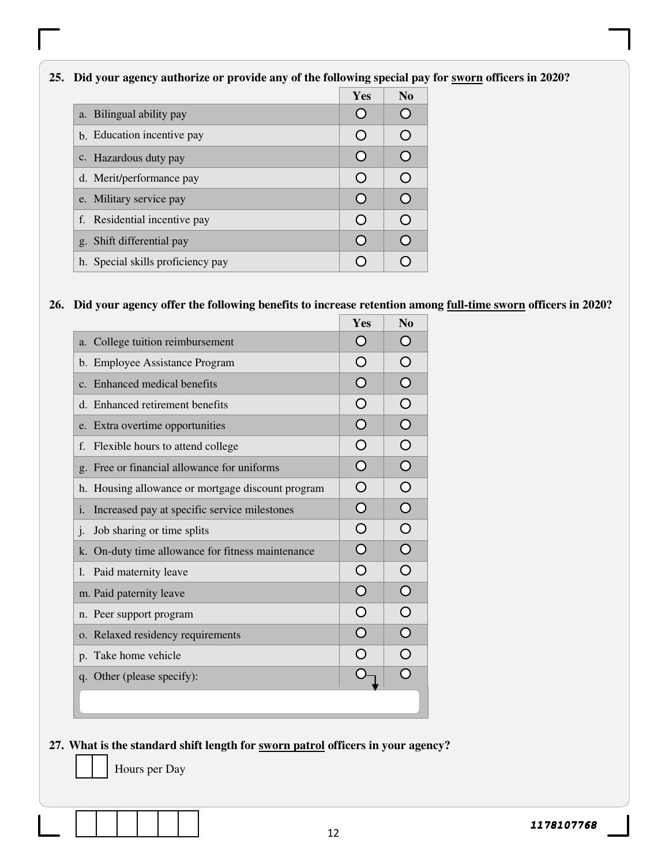#### **25. Did your agency authorize or provide any of the following special pay for sworn officers in 2020?**

|                                   | Yes | N <sub>0</sub> |
|-----------------------------------|-----|----------------|
| a. Bilingual ability pay          |     | r 1            |
| b. Education incentive pay        |     | ◠              |
| c. Hazardous duty pay             |     | ∩              |
| d. Merit/performance pay          |     | ∩              |
| e. Military service pay           |     | ∩              |
| f. Residential incentive pay      |     | ◯              |
| g. Shift differential pay         |     | ∩              |
| h. Special skills proficiency pay |     |                |

## **26. Did your agency offer the following benefits to increase retention among full-time sworn officers in 2020?**

|                                                    | Yes              | N <sub>0</sub>        |
|----------------------------------------------------|------------------|-----------------------|
| a. College tuition reimbursement                   |                  | $\bigcirc$            |
| b. Employee Assistance Program                     |                  | $\overline{O}$        |
| c. Enhanced medical benefits                       | ∩                | $\overline{O}$        |
| d. Enhanced retirement benefits                    | ∩                | $\overline{O}$        |
| e. Extra overtime opportunities                    |                  | $\overline{O}$        |
| Flexible hours to attend college<br>f.             |                  | $\overline{O}$        |
| g. Free or financial allowance for uniforms        | ∩                | $\overline{O}$        |
| h. Housing allowance or mortgage discount program  | $\left( \right)$ | $\overline{O}$        |
| Increased pay at specific service milestones<br>i. | ∩                | $\bigcirc$            |
| $\mathbf{j}$ .<br>Job sharing or time splits       | $\bigcap$        | $\overline{O}$        |
| k. On-duty time allowance for fitness maintenance  |                  | $\overline{\bigcirc}$ |
| Paid maternity leave<br>$\mathbf{l}$ .             |                  | $\overline{\bigcirc}$ |
| m. Paid paternity leave                            |                  | $\overline{\bigcirc}$ |
| n. Peer support program                            |                  | $\overline{O}$        |
| o. Relaxed residency requirements                  |                  | $\overline{\bigcirc}$ |
| p. Take home vehicle                               |                  | $\overline{\bigcirc}$ |
| q. Other (please specify):                         |                  | $\overline{\Omega}$   |
|                                                    |                  |                       |
|                                                    |                  |                       |

#### **27. What is the standard shift length for sworn patrol officers in your agency?**

Hours per Day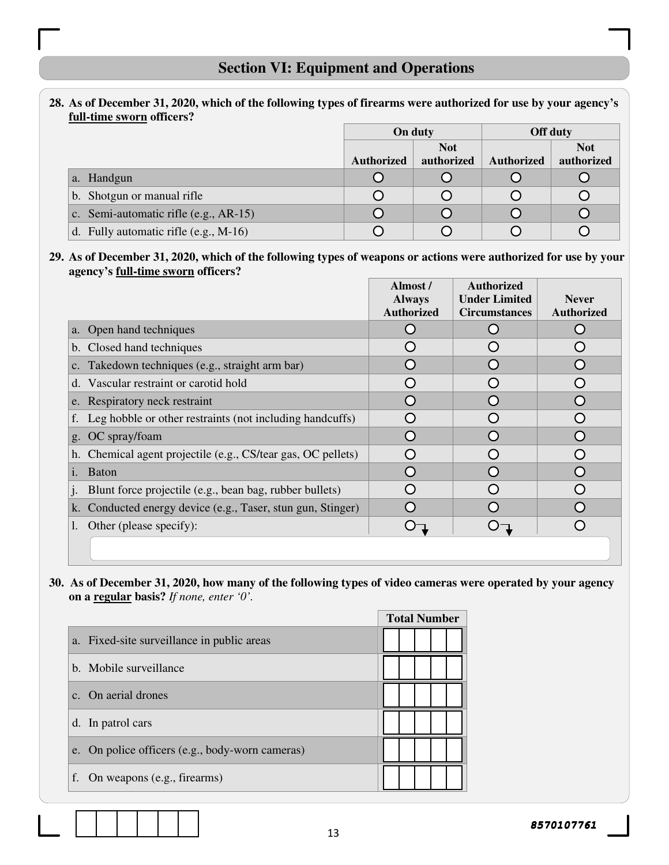# **Section VI: Equipment and Operations**

#### **28. As of December 31, 2020, which of the following types of firearms were authorized for use by your agency's full-time sworn officers?**

|                                         |                   | On duty    |                   | Off duty   |
|-----------------------------------------|-------------------|------------|-------------------|------------|
|                                         |                   | <b>Not</b> |                   | <b>Not</b> |
|                                         | <b>Authorized</b> | authorized | <b>Authorized</b> | authorized |
| a. Handgun                              |                   |            |                   |            |
| b. Shotgun or manual rifle              |                   |            |                   |            |
| c. Semi-automatic rifle (e.g., AR-15)   |                   |            |                   |            |
| d. Fully automatic rifle $(e.g., M-16)$ |                   |            |                   |            |

#### **29. As of December 31, 2020, which of the following types of weapons or actions were authorized for use by your agency's full-time sworn officers?**

|                                                              | Almost /          | <b>Authorized</b>    |                   |
|--------------------------------------------------------------|-------------------|----------------------|-------------------|
|                                                              | <b>Always</b>     | <b>Under Limited</b> | <b>Never</b>      |
|                                                              | <b>Authorized</b> | <b>Circumstances</b> | <b>Authorized</b> |
| a. Open hand techniques                                      |                   |                      |                   |
| b. Closed hand techniques                                    |                   |                      |                   |
| c. Takedown techniques (e.g., straight arm bar)              |                   |                      |                   |
| d. Vascular restraint or carotid hold                        |                   |                      |                   |
| e. Respiratory neck restraint                                | O                 |                      |                   |
| f. Leg hobble or other restraints (not including handcuffs)  |                   |                      |                   |
| g. OC spray/foam                                             | 0                 |                      |                   |
| h. Chemical agent projectile (e.g., CS/tear gas, OC pellets) | O                 |                      |                   |
| <b>Baton</b><br>1.                                           |                   |                      |                   |
| Blunt force projectile (e.g., bean bag, rubber bullets)      |                   |                      |                   |
| k. Conducted energy device (e.g., Taser, stun gun, Stinger)  |                   |                      |                   |
| Other (please specify):                                      |                   |                      |                   |
|                                                              |                   |                      |                   |

#### **30. As of December 31, 2020, how many of the following types of video cameras were operated by your agency on a regular basis?** *If none, enter '0'.*

|    |                                                 |  | <b>Total Number</b> |  |
|----|-------------------------------------------------|--|---------------------|--|
|    | a. Fixed-site surveillance in public areas      |  |                     |  |
|    | b. Mobile surveillance                          |  |                     |  |
|    | c. On aerial drones                             |  |                     |  |
|    | d. In patrol cars                               |  |                     |  |
|    | e. On police officers (e.g., body-worn cameras) |  |                     |  |
| f. | On weapons (e.g., firearms)                     |  |                     |  |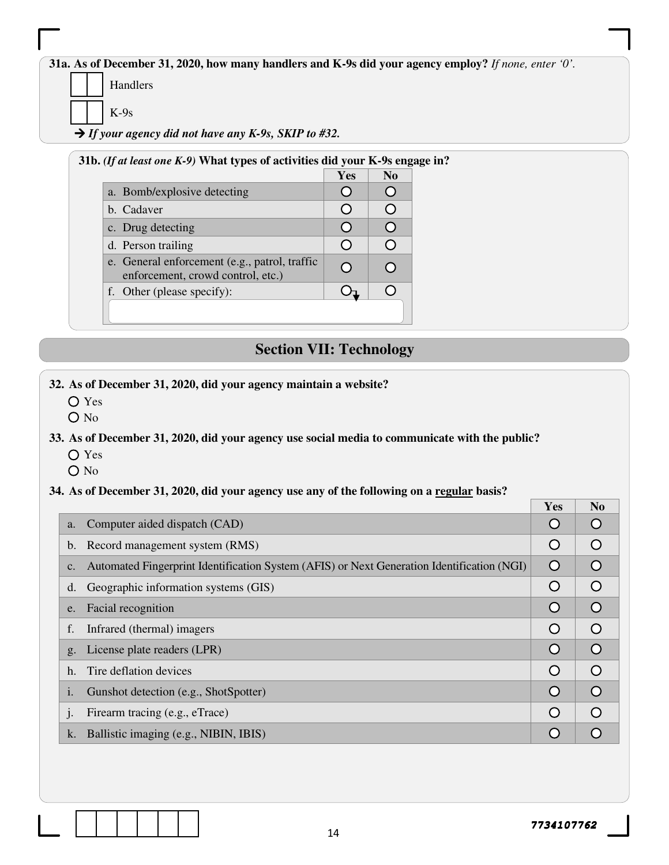**31a. As of December 31, 2020, how many handlers and K-9s did your agency employ?** *If none, enter '0'.*

Handlers

K-9s

*If your agency did not have any K-9s, SKIP to #32.* 

| 31b. <i>(If at least one K-9)</i> What types of activities did your K-9s engage in? |            |                         |
|-------------------------------------------------------------------------------------|------------|-------------------------|
|                                                                                     | <b>Yes</b> | N <sub>0</sub>          |
| a. Bomb/explosive detecting                                                         |            |                         |
| b. Cadaver                                                                          |            | ∩                       |
| c. Drug detecting                                                                   |            | ∩                       |
| d. Person trailing                                                                  |            | $\subset$               |
| e. General enforcement (e.g., patrol, traffic<br>enforcement, crowd control, etc.)  |            | $\langle \cdot \rangle$ |
| f. Other (please specify):                                                          |            |                         |

# **Section VII: Technology**

- **32. As of December 31, 2020, did your agency maintain a website?** 
	- Yes
	- O No

**33. As of December 31, 2020, did your agency use social media to communicate with the public?** 

- Yes
- O No

#### **34. As of December 31, 2020, did your agency use any of the following on a regular basis?**

|                                                                                                             | Yes              | N <sub>0</sub>   |
|-------------------------------------------------------------------------------------------------------------|------------------|------------------|
| Computer aided dispatch (CAD)<br>a.                                                                         | $\left( \right)$ |                  |
| Record management system (RMS)<br>$\mathbf b$ .                                                             | O                | $\left( \right)$ |
| Automated Fingerprint Identification System (AFIS) or Next Generation Identification (NGI)<br>$C_{\bullet}$ | $\circ$          |                  |
| Geographic information systems (GIS)<br>d.                                                                  | O                | $\bigcap$        |
| Facial recognition<br>e.                                                                                    | $\Omega$         | $\bigcap$        |
| f.<br>Infrared (thermal) imagers                                                                            | O                |                  |
| License plate readers (LPR)<br>g <sub>1</sub>                                                               | $\circ$          |                  |
| Tire deflation devices<br>h.                                                                                | $\circ$          | $\bigcap$        |
| Gunshot detection (e.g., ShotSpotter)<br>1.                                                                 | $\circ$          | $\bigcap$        |
| Firearm tracing (e.g., eTrace)<br>$\mathbf{1}$ .                                                            | $\bigcirc$       |                  |
| Ballistic imaging (e.g., NIBIN, IBIS)<br>k.                                                                 | $\bigcap$        |                  |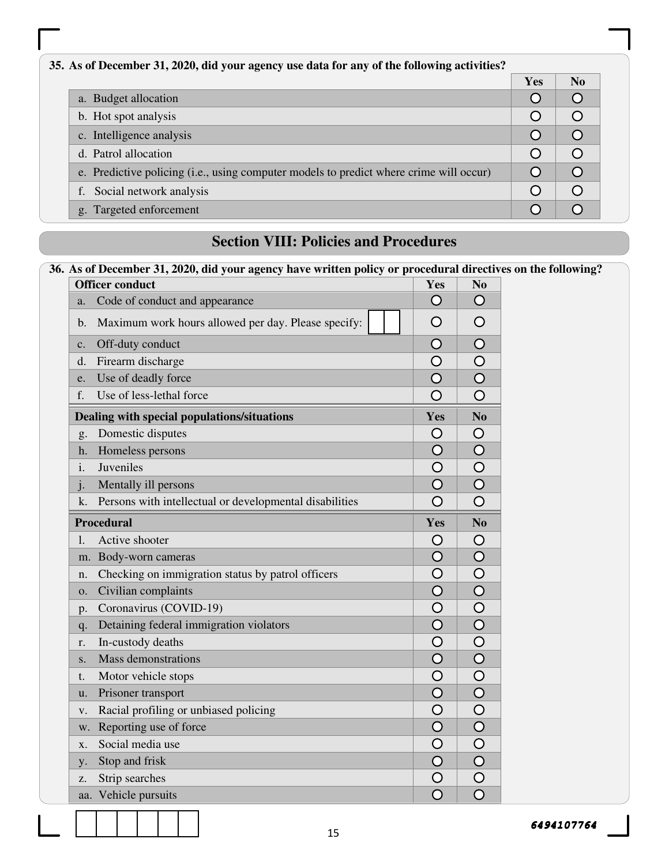| 35. As of December 31, 2020, did your agency use data for any of the following activities? |     |           |  |
|--------------------------------------------------------------------------------------------|-----|-----------|--|
|                                                                                            | Yes | $\bf No$  |  |
| a. Budget allocation                                                                       |     |           |  |
| b. Hot spot analysis                                                                       |     |           |  |
| c. Intelligence analysis                                                                   |     |           |  |
| d. Patrol allocation                                                                       |     |           |  |
| e. Predictive policing (i.e., using computer models to predict where crime will occur)     |     | $\subset$ |  |
| Social network analysis                                                                    |     |           |  |
| g. Targeted enforcement                                                                    |     |           |  |

## **Section VIII: Policies and Procedures**

#### **36. As of December 31, 2020, did your agency have written policy or procedural directives on the following? Officer conduct** No  $\overline{Y}$ **ES** No  $\overline{Y}$ a. Code of conduct and appearance  $\bigcirc$  $\circ$  $\bigcirc$  $\circ$ b. Maximum work hours allowed per day. Please specify:  $\Omega$  $\Omega$ c. Off-duty conduct d. Firearm discharge  $\bigcirc$  $\circ$  $\circ$ e. Use of deadly force  $\overline{O}$ f. Use of less-lethal force  $\bigcirc$  $\bigcirc$ **Dealing with special populations/situations Yes** No g. Domestic disputes  $\bigcirc$  $\circ$ h. Homeless persons  $\circ$  $\circ$ i. Juveniles  $\circ$  $\circ$  $\overline{O}$  $\Omega$ j. Mentally ill persons  $\overline{O}$ k. Persons with intellectual or developmental disabilities  $\bigcirc$ **Procedural Yes No**  l. Active shooter  $\circ$  $\circ$  $\overline{O}$  $\circ$ m. Body-worn cameras  $\Omega$  $\Omega$ n. Checking on immigration status by patrol officers o. Civilian complaints  $\Omega$  $\Omega$ p. Coronavirus (COVID-19)  $\overline{O}$  $\bigcirc$  $\overline{O}$  $\circ$ q. Detaining federal immigration violators  $\bigcirc$ r. In-custody deaths  $\circ$ s. Mass demonstrations  $\overline{O}$  $\circ$  $\bigcirc$  $\circ$ t. Motor vehicle stops  $\circ$ u. Prisoner transport  $\Omega$ v. Racial profiling or unbiased policing  $\overline{O}$  $\circ$ w. Reporting use of force  $\bigcirc$  $\circ$ x. Social media use  $\bigcirc$  $\circ$  $\overline{O}$ y. Stop and frisk  $\overline{O}$  $\circ$  $\circ$ z. Strip searches  $\overline{O}$  $\Omega$ aa. Vehicle pursuits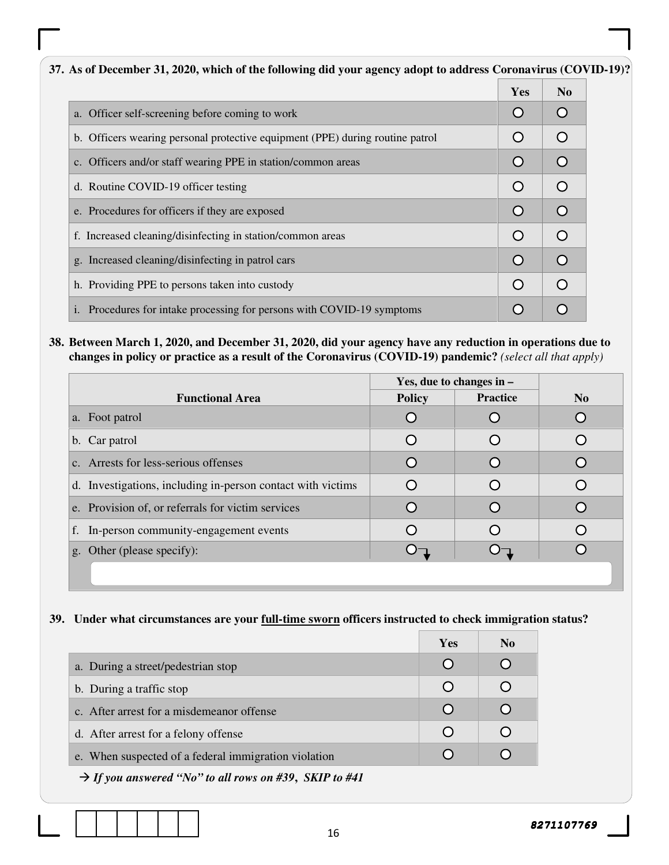#### **37. As of December 31, 2020, which of the following did your agency adopt to address Coronavirus (COVID-19)?**  Yes | No a. Officer self-screening before coming to work O  $\circ$ b. Officers wearing personal protective equipment (PPE) during routine patrol  $\circ$  $\circ$  $\overline{O}$  $\circ$ c. Officers and/or staff wearing PPE in station/common areas d. Routine COVID-19 officer testing  $\bigcirc$  $\circ$ e. Procedures for officers if they are exposed  $\bigcirc$  $\circ$ f. Increased cleaning/disinfecting in station/common areas  $\bigcirc$  $\circ$ g. Increased cleaning/disinfecting in patrol cars  $\bigcirc$  $\bigcirc$ h. Providing PPE to persons taken into custody  $\bigcirc$  $\circ$ i. Procedures for intake processing for persons with COVID-19 symptoms  $\bigcirc$  $\circ$

**38. Between March 1, 2020, and December 31, 2020, did your agency have any reduction in operations due to changes in policy or practice as a result of the Coronavirus (COVID-19) pandemic?** *(select all that apply)* 

|                                                             | Yes, due to changes in $-$ |                 |                |
|-------------------------------------------------------------|----------------------------|-----------------|----------------|
| <b>Functional Area</b>                                      | <b>Policy</b>              | <b>Practice</b> | N <sub>0</sub> |
| a. Foot patrol                                              |                            |                 |                |
| b. Car patrol                                               |                            |                 |                |
| c. Arrests for less-serious offenses                        |                            |                 |                |
| d. Investigations, including in-person contact with victims |                            |                 |                |
| e. Provision of, or referrals for victim services           |                            |                 |                |
| f. In-person community-engagement events                    |                            |                 |                |
| g. Other (please specify):                                  |                            |                 |                |
|                                                             |                            |                 |                |

#### **39. Under what circumstances are your full-time sworn officers instructed to check immigration status?**

|                                                      | <b>Yes</b> | N <sub>0</sub> |
|------------------------------------------------------|------------|----------------|
| a. During a street/pedestrian stop                   |            |                |
| b. During a traffic stop                             |            |                |
| c. After arrest for a misdemeanor offense            |            |                |
| d. After arrest for a felony offense                 |            |                |
| e. When suspected of a federal immigration violation |            |                |

*If you answered "No" to all rows on #39***,** *SKIP to #41*

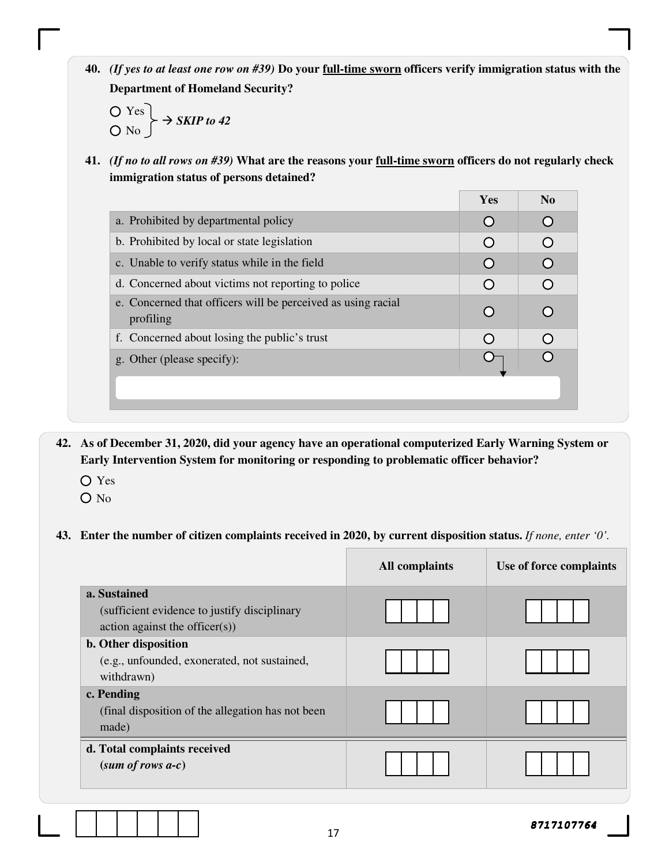**40.** *(If yes to at least one row on #39)* **Do your full-time sworn officers verify immigration status with the Department of Homeland Security?** 

$$
\begin{array}{c}\nO \text{ Yes} \\
O \text{ No}\n\end{array}\n\rightarrow \text{SKIP to 42}
$$

**41.** *(If no to all rows on #39)* **What are the reasons your full-time sworn officers do not regularly check immigration status of persons detained?** 

|                                                                           | <b>Yes</b>       | N <sub>0</sub> |
|---------------------------------------------------------------------------|------------------|----------------|
| a. Prohibited by departmental policy                                      | $\cap$           |                |
| b. Prohibited by local or state legislation                               |                  |                |
| c. Unable to verify status while in the field                             | $\left( \right)$ |                |
| d. Concerned about victims not reporting to police                        |                  |                |
| e. Concerned that officers will be perceived as using racial<br>profiling |                  |                |
| f. Concerned about losing the public's trust                              |                  |                |
| g. Other (please specify):                                                |                  |                |
|                                                                           |                  |                |
|                                                                           |                  |                |

**42. As of December 31, 2020, did your agency have an operational computerized Early Warning System or Early Intervention System for monitoring or responding to problematic officer behavior?** 

- Yes
- O No

#### **43. Enter the number of citizen complaints received in 2020, by current disposition status.** *If none, enter '0'.*

|                                                                                                | <b>All complaints</b> | Use of force complaints |
|------------------------------------------------------------------------------------------------|-----------------------|-------------------------|
| a. Sustained<br>(sufficient evidence to justify disciplinary<br>action against the officer(s)) |                       |                         |
| b. Other disposition<br>(e.g., unfounded, exonerated, not sustained,<br>withdrawn)             |                       |                         |
| c. Pending<br>(final disposition of the allegation has not been<br>made)                       |                       |                         |
| d. Total complaints received<br>$(sum of rows a-c)$                                            |                       |                         |

17